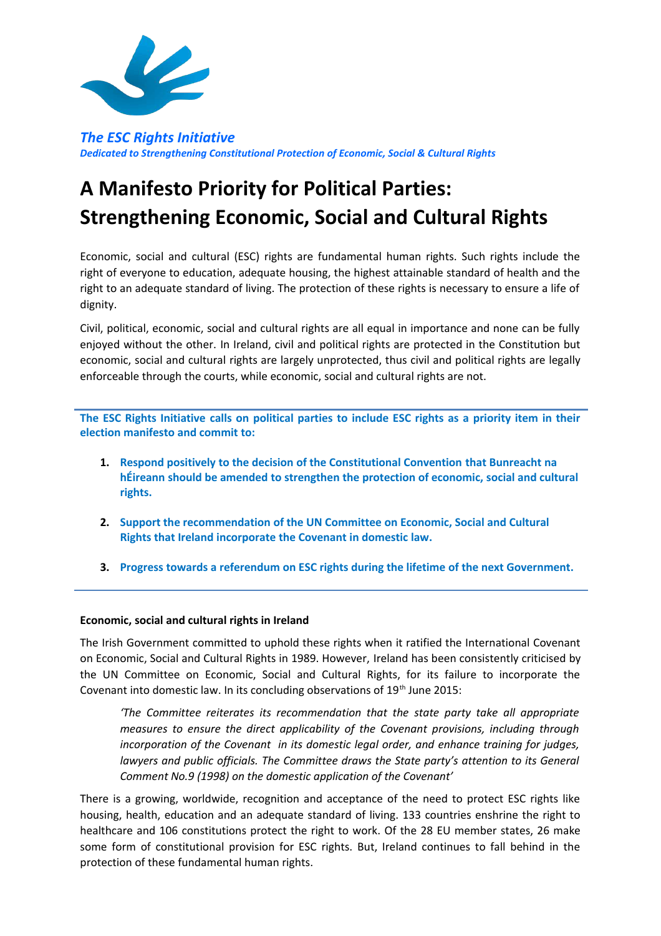

*The ESC Rights Initiative Dedicated to Strengthening Constitutional Protection of Economic, Social & Cultural Rights*

# **A Manifesto Priority for Political Parties: Strengthening Economic, Social and Cultural Rights**

Economic, social and cultural (ESC) rights are fundamental human rights. Such rights include the right of everyone to education, adequate housing, the highest attainable standard of health and the right to an adequate standard of living. The protection of these rights is necessary to ensure a life of dignity.

Civil, political, economic, social and cultural rights are all equal in importance and none can be fully enjoyed without the other. In Ireland, civil and political rights are protected in the Constitution but economic, social and cultural rights are largely unprotected, thus civil and political rights are legally enforceable through the courts, while economic, social and cultural rights are not.

**The ESC Rights Initiative calls on political parties to include ESC rights as a priority item in their election manifesto and commit to:**

- **1. Respond positively to the decision of the Constitutional Convention that Bunreacht na hÉireann should be amended to strengthen the protection of economic, social and cultural rights.**
- **2. Support the recommendation of the UN Committee on Economic, Social and Cultural Rights that Ireland incorporate the Covenant in domestic law.**
- **3. Progress towards a referendum on ESC rights during the lifetime of the next Government.**

#### **Economic, social and cultural rights in Ireland**

The Irish Government committed to uphold these rights when it ratified the International Covenant on Economic, Social and Cultural Rights in 1989. However, Ireland has been consistently criticised by the UN Committee on Economic, Social and Cultural Rights, for its failure to incorporate the Covenant into domestic law. In its concluding observations of 19<sup>th</sup> June 2015:

*'The Committee reiterates its recommendation that the state party take all appropriate measures to ensure the direct applicability of the Covenant provisions, including through incorporation of the Covenant in its domestic legal order, and enhance training for judges, lawyers and public officials. The Committee draws the State party's attention to its General Comment No.9 (1998) on the domestic application of the Covenant'* 

There is a growing, worldwide, recognition and acceptance of the need to protect ESC rights like housing, health, education and an adequate standard of living. 133 countries enshrine the right to healthcare and 106 constitutions protect the right to work. Of the 28 EU member states, 26 make some form of constitutional provision for ESC rights. But, Ireland continues to fall behind in the protection of these fundamental human rights.